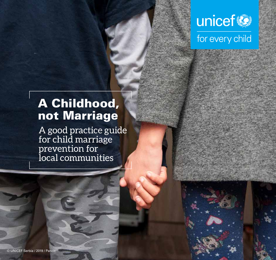

# A Childhood, not Marriage

A good practice guide for child marriage prevention for local communities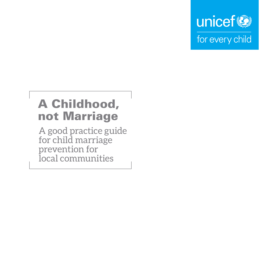

# A Childhood, not Marriage

A good practice guide for child marriage prevention for local communities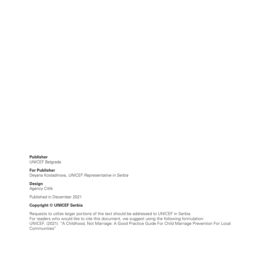**Publisher**  UNICEF Belgrade

**For Publisher** Deyana Kostadinova, *UNICEF Representative in Serbia*

**Design**  Agency Citlik

Published in December 2021

#### **Copyright © UNICEF Serbia**

Requests to utilize larger portions of the text should be addressed to UNICEF in Serbia. For readers who would like to cite this document, we suggest using the following formulation: UNICEF. (2021). "A Childhood, Not Marriage: A Good Practice Guide For Child Marriage Prevention For Local Communities"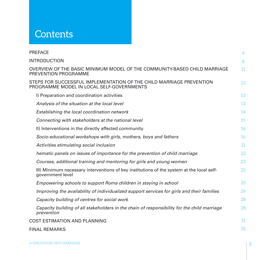## **Contents**

| <b>PREFACE</b>                                                                                                    | 6  |
|-------------------------------------------------------------------------------------------------------------------|----|
| <b>INTRODUCTION</b>                                                                                               | 8  |
| OVERVIEW OF THE BASIC MINIMUM MODEL OF THE COMMUNITY-BASED CHILD MARRIAGE<br>PREVENTION PROGRAMME                 | 11 |
| STEPS FOR SUCCESSFUL IMPLEMENTATION OF THE CHILD MARRIAGE PREVENTION<br>PROGRAMME MODEL IN LOCAL SELF-GOVERNMENTS | 13 |
| I) Preparation and coordination activities                                                                        | 13 |
| Analysis of the situation at the local level                                                                      | 13 |
| Establishing the local coordination network                                                                       | 14 |
| Connecting with stakeholders at the national level                                                                | 15 |
| II) Interventions in the directly affected community                                                              | 16 |
| Socio-educational workshops with girls, mothers, boys and fathers                                                 | 16 |
| Activities stimulating social inclusion                                                                           | 21 |
| hematic panels on issues of importance for the prevention of child marriage                                       | 22 |
| Courses, additional training and mentoring for girls and young women                                              | 23 |
| III) Minimum necessary interventions of key institutions of the system at the local self-<br>government level     | 25 |
| Empowering schools to support Roma children in staying in school                                                  | 25 |
| Improving the availability of individualized support services for girls and their families                        | 26 |
| Capacity building of centres for social work                                                                      | 28 |
| Capacity building of all stakeholders in the chain of responsibility for the child marriage<br>prevention         | 28 |
| <b>COST ESTIMATION AND PLANNING</b>                                                                               | 31 |
| <b>FINAL REMARKS</b>                                                                                              | 35 |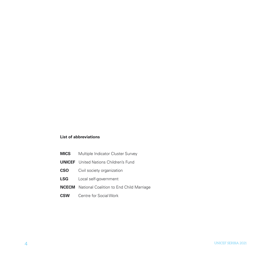#### **List of abbreviations**

- **MICS** Multiple Indicator Cluster Survey
- **UNICEF** United Nations Children's Fund
- **CSO** Civil society organization
- **LSG** Local self-government
- **NCECM** National Coalition to End Child Marriage
- **CSW** Centre for Social Work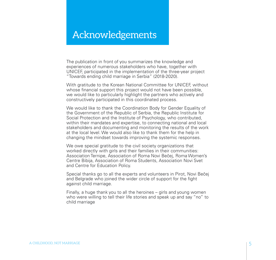## Acknowledgements

The publication in front of you summarizes the knowledge and experiences of numerous stakeholders who have, together with UNICEF, participated in the implementation of the three-year project "Towards ending child marriage in Serbia" (2018-2020).

With gratitude to the Korean National Committee for UNICEF, without whose financial support this project would not have been possible, we would like to particularly highlight the partners who actively and constructively participated in this coordinated process.

We would like to thank the Coordination Body for Gender Equality of the Government of the Republic of Serbia, the Republic Institute for Social Protection and the Institute of Psychology, who contributed, within their mandates and expertise, to connecting national and local stakeholders and documenting and monitoring the results of the work at the local level. We would also like to thank them for the help in changing the mindset towards improving the systemic responses.

We owe special gratitude to the civil society organizations that worked directly with girls and their families in their communities: Association Ternipe, Association of Roma Novi Bečej, Roma Women's Centre Bibija, Association of Roma Students, Association Novi Svet and Centre for Education Policy.

Special thanks go to all the experts and volunteers in Pirot, Novi Bečej and Belgrade who joined the wider circle of support for the fight against child marriage.

Finally, a huge thank you to all the heroines – girls and young women who were willing to tell their life stories and speak up and say "no" to child marriage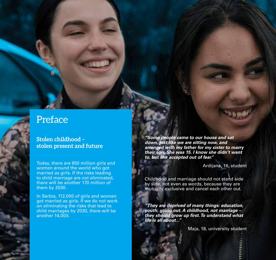## **Preface**

## **Stolen childhood – stolen present and future**

Today, there are 650 million girls and women around the world who got married as girls. If the risks leading to child marriage are not eliminated, there will be another 170 million of them by 2030.

In Serbia, 112,000 of girls and women got married as girls. If we do not work on eliminating the risks that lead to child marriages by 2030, there will be another 14,000.

*"Some people came to our house and sat down, just like we are sitting now, and arranged with my father for my sister to marry their son. She was 15. I know she didn't want to, but she accepted out of fear."* 

Ardijana, 16, student

Childhood and marriage should not stand side by side, not even as words, because they are mutually exclusive and cancel each other out.

*"They are deprived of many things: education, youth, going out. A childhood, not marriage –*  **they should grow up first. To understand what**  *life is all about..."*

6 UNICEF SERBIA 2021 - L'ANGELIA DE L'ANGELIA DE L'ANGELIA DE L'ANGELIA DE L'ANGELIA DE L'ANGELIA DE L'ANGELIA

Maja, 18, university student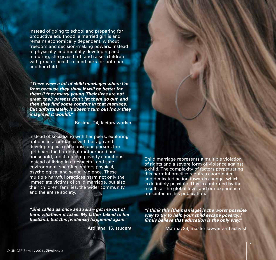Instead of going to school and preparing for productive adulthood, a married girl is and remains economically dependent, without freedom and decision-making powers. Instead of physically and mentally developing and maturing, she gives birth and raises children with greater health-related risks for both her and her child.

*"There were a lot of child marriages where I'm from because they think it will be better for them if they marry young. Their lives are not great, their parents don't let them go out, and*  **then they find some comfort in that marriage.**  *But unfortunately, it doesn't turn out [how they imagined it would]."*

Besima, 24, factory worker

Instead of socializing with her peers, exploring options in accordance with her age and developing as a self-conscious person, the girl bears the burden of motherhood and household, most often in poverty conditions. Instead of living in a respectful and safe environment, she often suffers physical, psychological and sexual violence. These multiple harmful practices harm not only the immediate victims of child marriage, but also their children, families, the wider community and the entire society.

*"She called us once and said – get me out of here, whatever it takes. My father talked to her husband, but this [violence] happened again."*

Ardijana, 16, student

Child marriage represents a multiple violation of rights and a severe form of violence against a child. The complexity of factors perpetuating this harmful practice requires coordinated and dedicated action towards change, which is definitely possible. This is confirmed by the results at the global level and our experience presented in this publication.

*"I think this [the marriage] is the worst possible way to try to help your child escape poverty. I*  **firmly believe that education is the only way."**

Marina, 36, master lawyer and activist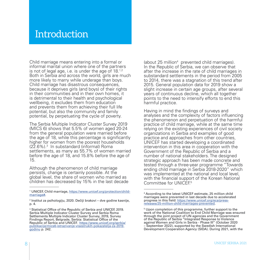## **Introduction**

Child marriage means entering into a formal or informal marital union where one of the partners is not of legal age, i.e. is under the age of  $18^{1,2}$ Both in Serbia and across the world, girls are much more likely to marry while underage than boys. Child marriage has disastrous consequences, because it deprives girls (and boys) of their rights in their communities and in their own homes, it is detrimental to their health and psychological wellbeing, it excludes them from education and prevents them from achieving their full life potential, but also the community and family potential, by perpetuating the cycle of poverty.

The Serbia Multiple Indicator Cluster Survey 2019 (MICS 6) shows that 5.5% of women aged 20-24 from the general population were married before the age of 18, while this percentage is significantly higher for women from the poorest households (22.6%).3 In substandard (informal) Roma settlements, as many as 55.7% of women married before the age of 18, and 15.8% before the age of 15.

Although the phenomenon of child marriage persists, change is certainly possible. At the global level, the share of women who married as children has decreased by 15% in the last decade

(about 25 million4 prevented child marriages). In the Republic of Serbia, we can observe that after the increase in the rate of child marriages in substandard settlements in the period from 2005 to 2014, there was a stagnation of this trend after 2015. General population data for 2019 show a slight increase in certain age groups, after several years of continuous decline, which all together points to the need to intensify efforts to end this harmful practice.

Having in mind the findings of surveys and analyses and the complexity of factors influencing the phenomenon and perpetuation of the harmful practice of child marriage, while at the same time relying on the existing experiences of civil society organizations in Serbia and examples of good practice and approaches from other countries, UNICEF has started developing a coordinated intervention in this area in cooperation with the Government of the Republic of Serbia and a number of national stakeholders. The designed strategic approach has been made concrete and tested through a three-year programme "Towards ending child marriage in Serbia 2018-2020" which was implemented at the national and local level, with the financial support of the Korean National Committee for  $UNICEF<sup>5</sup>$ 

<sup>&</sup>lt;sup>1</sup> UNICEF, Child marriage, [https://www.unicef.org/protection/child](https://www.unicef.org/protection/child-marriage#)[marriage#](https://www.unicef.org/protection/child-marriage#).

<sup>2</sup> Institut za psihologiju, 2020. Dečiji brakovi – dve godine kasnije, p. 4.

<sup>3</sup> Statistical Office of the Republic of Serbia and UNICEF, 2019. Serbia Multiple Indicator Cluster Survey and Serbia Roma Settlements Multiple Indicator Cluster Survey, 2019, Survey Findings Report, Belgrade, Serbia: Statistical Office of the Republic of Serbia and UNICEF. [https://www.unicef.org/serbia/](https://www.unicef.org/serbia/publikacije/mics6-istrazivanje-visestrukih-pokazatelja-za-2019-godinu) [publikacije/mics6-istrazivanje-visestrukih-pokazatelja-za-2019](https://www.unicef.org/serbia/publikacije/mics6-istrazivanje-visestrukih-pokazatelja-za-2019-godinu) [godinu](https://www.unicef.org/serbia/publikacije/mics6-istrazivanje-visestrukih-pokazatelja-za-2019-godinu) p. 242.

<sup>4</sup> According to the latest UNICEF estimate, 25 million child marriages were prevented in last decade due to accelerated progress in this field: [https://www.unicef.org/eca/press](https://www.unicef.org/eca/press-releases/25-million-child-marriages-prevented)[releases/25-million-child-marriages-prevented.](https://www.unicef.org/eca/press-releases/25-million-child-marriages-prevented)

<sup>&</sup>lt;sup>5</sup> Upon completion of this programme, further support to the work of the National Coalition to End Child Marriage was ensured through the joint project of UN agencies and the Government of the Republic of Serbia "Integrated Response to Violence against Women and Girls in Serbia - Phase III" (October 2020 – September 2022), supported by the Swedish International Development Cooperation Agency (SIDA). During 2021, with the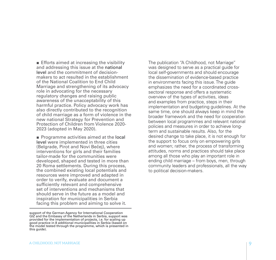■ Efforts aimed at increasing the visibility and addressing this issue at the national level and the commitment of decisionmakers to act resulted in the establishment of the National Coalition to End Child Marriage and strengthening of its advocacy role in advocating for the necessary regulatory changes and raising public awareness of the unacceptability of this harmful practice. Policy advocacy work has also directly contributed to the recognition of child marriage as a form of violence in the new national Strategy for Prevention and Protection of Children from Violence 2020- 2023 (adopted in May 2020).

■ Programme activities aimed at the local level were implemented in three cities (Belgrade, Pirot and Novi Bečej), where interventions for girls and their families tailor-made for the communities were developed, shaped and tested in more than 20 Roma settlements. During this process, the combined existing local potentials and resources were improved and adapted in order to verify, evaluate and document a sufficiently relevant and comprehensive set of interventions and mechanisms that should serve in the future as a model and inspiration for municipalities in Serbia facing this problem and aiming to solve it.

The publication "A Childhood, not Marriage" was designed to serve as a practical guide for local self-governments and should encourage the dissemination of evidence-based practice in environments facing this issue. The guide emphasizes the need for a coordinated crosssectoral response and offers a systematic overview of the types of activities, ideas and examples from practice, steps in their implementation and budgeting guidelines. At the same time, one should always keep in mind the broader framework and the need for cooperation between local programmes and relevant national policies and measures in order to achieve longterm and sustainable results. Also, for the desired change to take place, it is not enough for the support to focus only on empowering girls and women; rather, the process of transforming attitudes, norms and practices should take place among all those who play an important role in ending child marriage – from boys, men, through community leaders and professionals, all the way to political decision-makers.

support of the German Agency for International Cooperation GIZ and the Embassy of the Netherlands in Serbia, support was provided for the implementation of projects, i.e. for scaling up good practice in 8 additional municipalities in Serbia (based on the model tested through the programme, which is presented in this guide).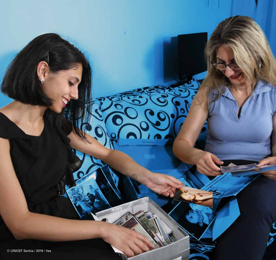

maring

ι

 $\breve{\checkmark}$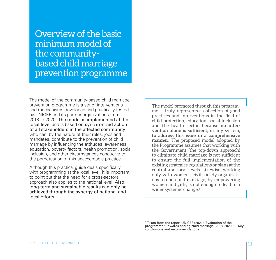Overview of the basic minimum model of the communitybased child marriage prevention programme

The model of the community-based child marriage prevention programme is a set of interventions and mechanisms developed and practically tested by UNICEF and its partner organizations from 2018 to 2020. The model is implemented at the local level and is based on synchronized action of all stakeholders in the affected community who can, by the nature of their roles, jobs and mandates, contribute to the prevention of child marriage by influencing the attitudes, awareness, education, poverty factors, health promotion, social inclusion, and other circumstances conducive to the perpetuation of this unacceptable practice.

Although this practical guide deals specifically with programming at the local level, it is important to point out that the need for a cross-sectoral approach also applies to the national level. Also, long-term and sustainable results can only be achieved through the synergy of national and local efforts.

The model promoted through this programme … truly represents a collection of good practices and interventions in the field of child protection, education, social inclusion and the health sector, because **no intervention alone is sufficient**, in any system, **to address this issue in a comprehensive manner**. The proposed model adopted by the Programme assumes that working with the Government (the top-down approach) to eliminate child marriage is not sufficient to ensure the full implementation of the existing strategies, regulations or plans at the central and local levels. Likewise, working only with women's civil society organizations to end child marriage, by empowering women and girls, is not enough to lead to a wider systemic change.<sup>6</sup>

<sup>6</sup> Taken from the report UNICEF (2021): Evaluation of the programme "Towards ending child marriage (2018–2020)" – Key conclusions and recommendations.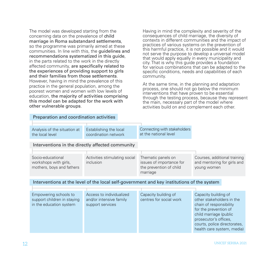The model was developed starting from the concerning data on the prevalence of child marriage in Roma substandard settlements, so the programme was primarily aimed at these communities. In line with this, the guidelines and recommendations systematized in this guide, in the parts related to the work in the directly affected community, are specifically related to the experiences of providing support to girls and their families from those settlements. However, having in mind the prevalence of this practice in the general population, among the poorest women and women with low levels of education, the majority of activities comprising this model can be adapted for the work with other vulnerable groups.

Having in mind the complexity and severity of the consequences of child marriage, the diversity of contexts in different communities and the impact of practices of various systems on the prevention of this harmful practice, it is not possible and it would not serve the purpose to develop a universal model that would apply equally in every municipality and city. That is why this guide provides a foundation for various combinations that can be adapted to the specific conditions, needs and capabilities of each community.

At the same time, in the planning and adaptation process, one should not go below the minimum interventions that have proven to be essential through the testing process, because they represent the main, necessary part of the model where activities build on and complement each other.

| Analysis of the situation at<br>the local level                                            | Establishing the local<br>coordination network                          | Connecting with stakeholders<br>at the national level                                 |                                                                                                                                                                                                                        |  |
|--------------------------------------------------------------------------------------------|-------------------------------------------------------------------------|---------------------------------------------------------------------------------------|------------------------------------------------------------------------------------------------------------------------------------------------------------------------------------------------------------------------|--|
| Interventions in the directly affected community                                           |                                                                         |                                                                                       |                                                                                                                                                                                                                        |  |
| Socio-educational<br>workshops with girls,<br>mothers, boys and fathers                    | Activities stimulating social<br>inclusion                              | Thematic panels on<br>issues of importance for<br>the prevention of child<br>marriage | Courses, additional training<br>and mentoring for girls and<br>young women                                                                                                                                             |  |
| Interventions at the level of the local self-government and key institutions of the system |                                                                         |                                                                                       |                                                                                                                                                                                                                        |  |
| Empowering schools to<br>support children in staying<br>in the education system            | Access to individualized<br>and/or intensive family<br>support services | Capacity building of<br>centres for social work                                       | Capacity building of<br>other stakeholders in the<br>chain of responsibility<br>for the prevention of<br>child marriage (public<br>prosecutor's offices,<br>courts, police directorates,<br>health care system, media) |  |

Preparation and coordination activities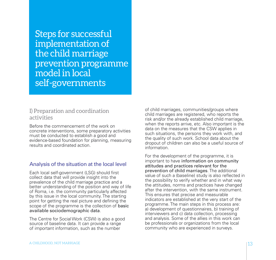Steps for successful implementation of the child marriage prevention programme model in local self-governments

## I) Preparation and coordination activities

Before the commencement of the work on concrete interventions, some preparatory activities must be conducted to establish a good and evidence-based foundation for planning, measuring results and coordinated action.

## Analysis of the situation at the local level

Each local self-government (LSG) should first collect data that will provide insight into the prevalence of the child marriage practice and a better understanding of the position and way of life of Roma, i.e. the community particularly affected by this issue in the local community. The starting point for getting the real picture and defining the scope of the programme is the collection of **basic** available sociodemographic data.

The Centre for Social Work (CSW) is also a good source of baseline data. It can provide a range of important information, such as the number

of child marriages, communities/groups where child marriages are registered, who reports the risk and/or the already established child marriage, when the reports arrive, etc. Also important is the data on the measures that the CSW applies in such situations, the persons they work with, and the quality of such work. School data about the dropout of children can also be a useful source of information.

For the development of the programme, it is important to have information on community attitudes and practices relevant for the prevention of child marriages. The additional value of such a (baseline) study is also reflected in the possibility to verify whether and in what way the attitudes, norms and practices have changed after the intervention, with the same instrument. This ensures that precise and measurable indicators are established at the very start of the programme. The main steps in this process are: a) development of questionnaires, b) training of interviewers and c) data collection, processing and analysis. Some of the allies in this work can be professionals or organizations from the local community who are experienced in surveys.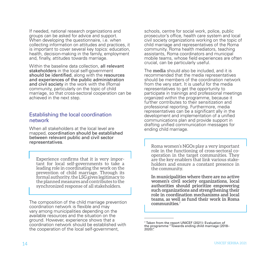If needed, national research organizations and groups can be asked for advice and support. When developing the questionnaire, i.e. when collecting information on attitudes and practices, it is important to cover several key topics: education, health, decision-making in the family, employment and, finally, attitudes towards marriage.

Within the baseline data collection, all relevant stakeholders in the local self-government should be identified, along with the resources and experiences of the public administration and civil society in the work with the (Roma) community, particularly on the topic of child marriage, so that cross-sectoral cooperation can be achieved in the next step.

#### Establishing the local coordination network

When all stakeholders at the local level are mapped, coordination should be established between relevant public and civil sector representatives.

Experience confirms that it is very impor- tant for local self-governments to take a leading role in coordinating the work on the prevention of child marriage. Through its formal authority, the LSG gives legitimacy to the planned measures and contributes to the synchronized response of all stakeholders.

The composition of the child marriage prevention coordination network is flexible and may vary among municipalities depending on the available resources and the situation on the ground. However, experience shows that a coordination network should be established with the cooperation of the local self-government,

schools, centre for social work, police, public prosecutor's office, health care system and local civil society organizations working on the topic of child marriage and representatives of the Roma community. Roma health mediators, teaching assistants, Roma coordinators and municipal mobile teams, whose field experiences are often crucial, can be particularly useful.

The **media** should also be included, and it is recommended that the media representatives should be members of the coordination network from the very start. It is useful for the media representatives to get the opportunity to participate in trainings and professional meetings organized within the programme, because it further contributes to their sensitization and professional reporting. Furthermore, media representatives can be a significant ally in the development and implementation of a unified communications plan and provide support in drafting unified communication messages for ending child marriage.

Roma women's NGOs play a very important role in the functioning of cross-sectoral co- operation in the target communities. They are the key enablers that link various stake- holders and ensure a constant presence in the community.

**In municipalities where there are no active women's civil society organizations, local authorities should prioritize empowering such organizations and strengthening their role in coordination mechanisms and local teams, as well as fund their work in Roma communities.**<sup>7</sup>

<sup>7</sup> Taken from the report UNICEF (2021): Evaluation of the programme "Towards ending child marriage (2018– 2020)".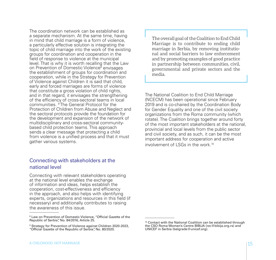The coordination network can be established as a separate mechanism. At the same time, having in mind that child marriage is a form of violence, a particularly effective solution is integrating the topic of child marriage into the work of the existing groups for coordination and cooperation in the field of response to violence at the municipal level. That is why it is worth recalling that the Law on Prevention of Domestic Violence<sup>8</sup> envisages the establishment of groups for coordination and cooperation, while in the Strategy for Prevention of Violence against Children it is said that child, early and forced marriages are forms of violence that constitute a gross violation of child rights, and in that regard, it envisages the strengthening of the efficiency of cross-sectoral teams in local communities. <sup>9</sup>The General Protocol for the Protection of Children from Abuse and Neglect and the sectoral protocols provide the foundation for the development and expansion of the network of multidisciplinary and cross-sectoral communitybased child protection teams. This approach sends a clear message that protecting a child from violence is a unified process and that it must gather various systems.

## Connecting with stakeholders at the national level

Connecting with relevant stakeholders operating at the national level enables the exchange of information and ideas, helps establish the cooperation, cost-effectiveness and efficiency in the approach, and also helps with identifying experts, organizations and resources in this field (if necessary) and additionally contributes to raising the awareness of this issue.

The overall goal of the Coalition to End Child Marriage is to contribute to ending child marriage in Serbia, by removing institutional and social barriers to law enforcement and by promoting examples of good practice in partnership between communities, civil, governmental and private sectors and the media.

The National Coalition to End Child Marriage (NCECM) has been operational since February 2019 and is co-chaired by the Coordination Body for Gender Equality and one of the civil society organizations from the Roma community (which rotate). The Coalition brings together around forty of the most important stakeholders at the national, provincial and local levels from the public sector and civil society, and as such, it can be the most important address for cooperation and active involvement of LSGs in the work.10

<sup>8</sup> Law on Prevention of Domestic Violence, "Official Gazette of the Republic of Serbia", No. 84/2016, Article 25.

<sup>9</sup> Strategy for Prevention of Violence against Children 2020-2023, "Official Gazette of the Republic of Serbia", No. 80/2020.

<sup>&</sup>lt;sup>10</sup> Contact with the National Coalition can be established through the CSO Roma Women's Centre BIBIJA (rzc@bibija.org.rs) and UNICEF in Serbia (belgrade@unicef.org).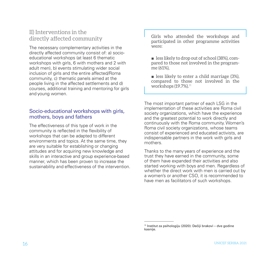## II) Interventions in the directly affected community

The necessary complementary activities in the directly affected community consist of: a) socioeducational workshops (at least 6 thematic workshops with girls, 6 with mothers and 2 with adult men), b) events stimulating wider social inclusion of girls and the entire affected/Roma community, c) thematic panels aimed at the people living in the affected settlements and d) courses, additional training and mentoring for girls and young women.

## Socio-educational workshops with girls, mothers, boys and fathers

The effectiveness of this type of work in the community is reflected in the flexibility of workshops that can be adapted to different environments and topics. At the same time, they are very suitable for establishing or changing attitudes and for acquiring new knowledge and skills in an interactive and group experience-based manner, which has been proven to increase the sustainability and effectiveness of the intervention. Girls who attended the workshops and participated in other programme activities were:

 $\blacksquare$  less likely to drop out of school (38%), compared to those not involved in the programme (61%),

■ less likely to enter a child marriage (3%). compared to those not involved in the workshops (19.7%).<sup>11</sup>

The most important partner of each LSG in the implementation of these activities are Roma civil society organizations, which have the experience and the greatest potential to work directly and continuously with the Roma community. Women's Roma civil society organizations, whose teams consist of experienced and educated activists, are indispensable partners in the work with girls and mothers.

Thanks to the many years of experience and the trust they have earned in the community, some of them have expanded their activities and also started working with boys and men. Regardless of whether the direct work with men is carried out by a women's or another CSO, it is recommended to have men as facilitators of such workshops.

<sup>11</sup> Institut za psihologiju (2020): Dečiji brakovi – dve godine kasnije.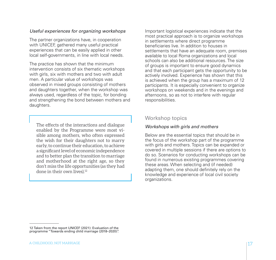#### *Useful experiences for organizing workshops*

The partner organizations have, in cooperation with UNICEF, gathered many useful practical experiences that can be easily applied in other local self-governments, in line with local needs.

The practice has shown that the minimum intervention consists of six thematic workshops with girls, six with mothers and two with adult men. A particular value of workshops was observed in mixed groups consisting of mothers and daughters together, when the workshop was always used, regardless of the topic, for bonding and strengthening the bond between mothers and daughters.

The effects of the interactions and dialogue enabled by the Programme were most visible among mothers, who often expressed the wish for their daughters not to marry early, to continue their education, to achieve a significant level of economic independence and to better plan the transition to marriage and motherhood at the right age, so they don't miss the life opportunities (as they had done in their own lives).<sup>12</sup>

Important logistical experiences indicate that the most practical approach is to organize workshops in settlements where direct programme beneficiaries live. In addition to houses in settlements that have an adequate room, premises available to local Roma organizations and local schools can also be additional resources. The size of groups is important to ensure good dynamics and that each participant gets the opportunity to be actively involved. Experience has shown that this is achieved when the group has a maximum of 12 participants. It is especially convenient to organize workshops on weekends and in the evenings and afternoons, so as not to interfere with regular responsibilities.

## Workshop topics

#### *Workshops with girls and mothers*

Below are the essential topics that should be in the focus of the workshop part of the programme with girls and mothers. Topics can be expanded or covered in multiple sessions if there are options to do so. Scenarios for conducting workshops can be found in numerous existing programmes covering these areas. When selecting and (if needed) adapting them, one should definitely rely on the knowledge and experience of local civil society organizations.

<sup>12</sup> Taken from the report UNICEF (2021): Evaluation of the programme "Towards ending child marriage (2018–2020)".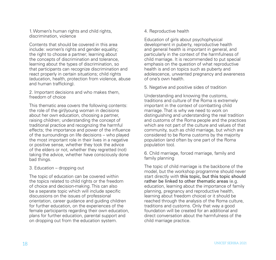1. Women's human rights and child rights, discrimination, violence

Contents that should be covered in this area include: women's rights and gender equality; the right to choose a partner; learning about the concepts of discrimination and tolerance, learning about the types of discrimination, so that participants can recognize discrimination and react properly in certain situations; child rights (education, health, protection from violence, abuse and human trafficking).

2. Important decisions and who makes them, freedom of choice

This thematic area covers the following contents: the role of the girl/young woman in decisions about her own education, choosing a partner, raising children; understanding the concept of traditional practice and recognizing the harmful effects; the importance and power of the influence of the surroundings on life decisions – who played the most important role in their lives in a negative or positive sense, whether they took the advice of the elders or not, whether they regretted (not) taking the advice, whether have consciously done bad things.

#### 3. Education – dropping out

The topic of education can be covered within the topics related to child rights or the freedom of choice and decision-making. This can also be a separate topic which will include specific discussions on the issues of professional orientation, career guidance and guiding children for further education, on the experiences of the female participants regarding their own education, plans for further education, parental support and on dropping out from the education system.

4. Reproductive health

Education of girls about psychophysical development in puberty, reproductive health and general health is important in general, and particularly in the context of the harmfulness of child marriage. It is recommended to put special emphasis on the question of what reproductive health is and on topics such as puberty and adolescence, unwanted pregnancy and awareness of one's own health.

5. Negative and positive sides of tradition

Understanding and knowing the customs, traditions and culture of the Roma is extremely important in the context of combatting child marriage. That is why we need to work on distinguishing and understanding the real tradition and customs of the Roma people and the practices which are not part of the culture and values of that community, such as child marriage, but which are considered to be Roma customs by the majority population (and often by one part of the Roma population too).

6. Child marriage, forced marriage, family and family planning

The topic of child marriage is the backbone of the model, but the workshop programme should never start directly with this topic, but this topic should rather be linked to other thematic areas (e.g. education, learning about the importance of family planning, pregnancy and reproductive health, learning about freedom choice) or it should be reached through the analysis of the Roma culture, traditions and customs. Only that way a good foundation will be created for an additional and direct conversation about the harmfulness of the child marriage practice.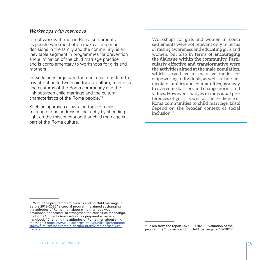#### *Workshops with men/boys*

Direct work with men in Roma settlements, as people who most often make all important decisions in the family and the community, is an inevitable segment in programmes for prevention and elimination of the child marriage practice and is complementary to workshops for girls and mothers.

In workshops organized for men, it is important to pay attention to two main topics: culture, traditions and customs of the Roma community and the link between child marriage and the cultural characteristics of the Roma people.13

Such an approach allows the topic of child marriage to be addressed indirectly by shedding light on the misconception that child marriage is a part of the Roma culture.

Workshops for girls and women in Roma settlements were not relevant only in terms of raising awareness and educating girls and women, but also in terms of **encouraging the dialogue within the community. Particularly effective and transformative were the activities aimed at the male population**, which served as an inclusive model for empowering individuals, as well as their immediate families and communities, as a way to overcome barriers and change norms and values. However, changes in individual preferences of girls, as well as the resilience of Roma communities to child marriage, (also) depend on the broader context of social inclusion.<sup>14</sup>

<sup>&</sup>lt;sup>13</sup> Within the programme "Towards ending child marriage in Serbia 2018–2020", a special programme aimed at changing the attitudes of Roma men about child marriage was developed and tested. To strengthen the capacities for change, the Roma Students Association has prepared a trainers handbook "Changing the attitudes of Roma men about child marriage": [https://www.unicef.org/serbia/publikacije/promena](https://www.unicef.org/serbia/publikacije/promena-stavova-muskaraca-roma-o-decijim-brakovima-prirucnik-za-trenere)[stavova-muskaraca-roma-o-decijim-brakovima-prirucnik-za](https://www.unicef.org/serbia/publikacije/promena-stavova-muskaraca-roma-o-decijim-brakovima-prirucnik-za-trenere)[trenere](https://www.unicef.org/serbia/publikacije/promena-stavova-muskaraca-roma-o-decijim-brakovima-prirucnik-za-trenere).

<sup>&</sup>lt;sup>14</sup> Taken from the report UNICEF (2021): Evaluation of the programme "Towards ending child marriage (2018–2020)".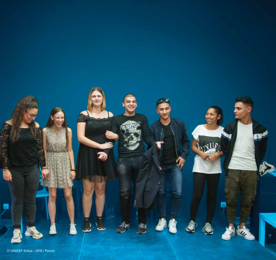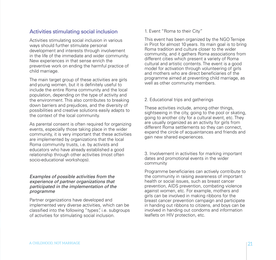## Activities stimulating social inclusion

Activities stimulating social inclusion in various ways should further stimulate personal development and interests through involvement in the life of the immediate and wider community. New experiences in that sense enrich the preventive work on ending the harmful practice of child marriage.

The main target group of these activities are girls and young women, but it is definitely useful to include the entire Roma community and the local population, depending on the type of activity and the environment. This also contributes to breaking down barriers and prejudices, and the diversity of possibilities and creative solutions easily adapts to the context of the local community.

As parental consent is often required for organizing events, especially those taking place in the wider community, it is very important that these activities are implemented by organizations that the local Roma community trusts, i.e. by activists and educators who have already established a good relationship through other activities (most often socio-educational workshops).

#### *Examples of possible activities from the experience of partner organizations that participated in the implementation of the programme*

Partner organizations have developed and implemented very diverse activities, which can be classified into the following "types", i.e. subgroups of activities for stimulating social inclusion.

1. Event "Roma to their City"

This event has been organized by the NGO Ternipe in Pirot for almost 10 years. Its main goal is to bring Roma tradition and culture closer to the wider community, and it gathers Roma associations from different cities which present a variety of Roma cultural and artistic contents. The event is a good model for activation through volunteering of girls and mothers who are direct beneficiaries of the programme aimed at preventing child marriage, as well as other community members.

#### 2. Educational trips and gatherings

These activities include, among other things, sightseeing in the city, going to the pool or skating, going to another city for a cultural event, etc. They are usually organized as an activity for girls from different Roma settlements so they can connect, expand the circle of acquaintances and friends and gain new shared experiences.

3. Involvement in activities for marking important dates and promotional events in the wider community

Programme beneficiaries can actively contribute to the community in raising awareness of important health or social issues, such as breast cancer prevention, AIDS prevention, combating violence against women, etc. For example, mothers and girls can be involved in making ribbons for the breast cancer prevention campaign and participate in handing out ribbons to citizens, and boys can be involved in handing out condoms and information leaflets on HIV protection, etc.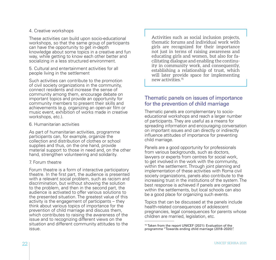#### 4. Creative workshops

These activities can build upon socio-educational workshops, so that the same group of participants can have the opportunity to get in-depth knowledge about some topics in a creative and fun way, while getting to know each other better and socializing in a less structured environment.

5. Cultural and entertainment activities for all people living in the settlement

Such activities can contribute to the promotion of civil society organizations in the community, connect residents and increase the sense of community among them, encourage debate on important topics and provide an opportunity for community members to present their skills and achievements (e.g. organizing an open-air film or music event, exhibition of works made in creative workshops, etc.).

#### 6. Humanitarian activities

As part of humanitarian activities, programme participants can, for example, organize the collection and distribution of clothes or school supplies and thus, on the one hand, provide material support to those in need and, on the other hand, strengthen volunteering and solidarity.

#### 7. Forum theatre

Forum theatre is a form of interactive participatory theatre. In the first part, the audience is presented with a relevant social problem, such as racism and discrimination, but without showing the solution to the problem, and then in the second part, the audience is activated to offer various solutions to the presented situation. The greatest value of this activity is the engagement of participants – they think about various topics of importance for the prevention of child marriage and discuss them, which contributes to raising the awareness of the issue and to recognizing different views on the situation and different community attitudes to the issue.

Activities such as social inclusion projects, thematic forums and individual work with girls are recognized for their importance not just in terms of raising awareness and educating girls and women, but also for facilitating dialogue and enabling the continuity in community work, and consequently, establishing a relationship of trust, which will later provide space for implementing new activities.<sup>15</sup>

### Thematic panels on issues of importance for the prevention of child marriage

Thematic panels are complementary to socioeducational workshops and reach a larger number of participants. They are useful as a means for spreading information and encouraging conversation on important issues and can directly or indirectly influence attitudes of importance for preventing child marriage.

Panels are a good opportunity for professionals from various backgrounds, such as doctors. lawyers or experts from centres for social work, to get involved in the work with the community, within the settlement. Through joint planning and implementation of these activities with Roma civil society organizations, panels also contribute to the increasing trust in the institutions of the system. The best response is achieved if panels are organized within the settlements, but local schools can also be a good place for organizing such events.

Topics that can be discussed at the panels include health-related consequences of adolescent pregnancies, legal consequences for parents whose children are married, legislation, etc.

<sup>&</sup>lt;sup>15</sup> Taken from the report UNICEF (2021): Evaluation of the programme "Towards ending child marriage (2018–2020)".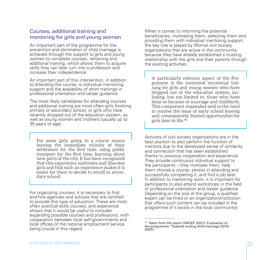### Courses, additional training and mentoring for girls and young women

An important part of the programme for the prevention and elimination of child marriage is achieved through the support to girls and young women to complete courses, retraining and additional training, which allows them to acquire skills they can later turn into a profession and increase their independence.

An important part of this intervention, in addition to attending the course, is individual mentoring support and the availability of short trainings in professional orientation and career guidance.

The most likely candidates for attending courses and additional training are most often girls finishing primary or secondary school, or girls who have recently dropped out of the education system, as well as young women and mothers (usually up to 35 years of age).

For some girls, going to a course means leaving the immediate vicinity of their settlement for the first time, using public transport for the first time, learning about new parts of the city. It has been recognized that this experience motivates and liberates girls and that such an experience makes it is easier for them to decide to enroll in secondary school.

For organizing courses, it is necessary to find and hire agencies and schools that are certified to provide this type of education. These are most often practical skills courses, and experience shows that it would be useful to consider expanding possible courses and professions, with cooperation between local self-governments and local offices of the national employment service being crucial in this regard.

When it comes to informing the potential beneficiaries, motivating them, selecting them and providing them with individual mentoring support, the key role is played by (Roma) civil society organizations that are active in the community, because they have already established a trusting relationship with the girls and their parents through the existing activities.

A particularly relevant aspect of the Programme is the mentored vocational training for girls and young women who have dropped out of the education system, including, but not limited to, those who have done so because of marriage and childbirth. This component responded well to the need to resolve the issue of early school leaving and, consequently, limited opportunities for girls later in life.<sup>16</sup>

Activists of civil society organizations are in the best position to also perform the function of mentors due to the developed sense of similarity and connection that has been established thanks to previous cooperation and experience. They provide continuous individual support to the participants – they motivate them, help them choose a course, persist in attending and successfully completing it, and find a job later. In addition to mentoring work, it is important for participants to also attend workshops in the field of professional orientation and career guidance. Depending on the size of the group, a qualified expert can be hired or an organization/institution that offers such content can be included in the programme (if it exists in the local community).

<sup>&</sup>lt;sup>16</sup> Taken from the report UNICEF (2021): Evaluation of the programme "Towards ending child marriage (2018–  $2020$ )".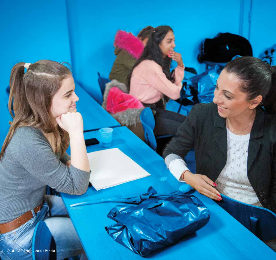

24 UNICEF SERBIA 2021 SERBIA 2021 SERBIA 2021 SERBIA 2021 SERBIA 2021 SERBIA 2021 SERBIA 2021 SERBIA 2021 SER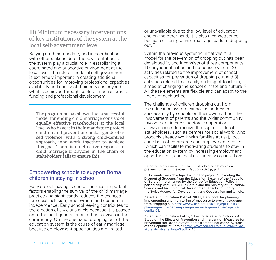## III) Minimum necessary interventions of key institutions of the system at the local self-government level

Relying on their mandate, and in coordination with other stakeholders, the key institutions of the system play a crucial role in establishing a coordinated and supportive environment at the local level. The role of the local self-government is extremely important in creating additional opportunities for improving professional capacities, availability and quality of their services beyond what is achieved through sectoral mechanisms for funding and professional development.

The programme has shown that a successful model for ending child marriage consists of equally effective stakeholders at the local level who have it in their mandate to protect children and prevent or combat gender-based violence, with a strong child-centred approach, who work together to achieve this goal. There is no effective response to child marriage if anyone in the chain of stakeholders fails to ensure this.

### Empowering schools to support Roma children in staying in school

Early school leaving is one of the most important factors enabling the survival of the child marriage practice and significantly reduces the chances for social inclusion, employment and economic independence. Early school leaving contributes to the creation of a vicious circle because it is passed on to the next generation and thus survives in the community. On the one hand, dropping out of the education system is the cause of early marriage, because employment opportunities are limited

or unavailable due to the low level of education, and on the other hand, it is also a consequence, because entering a child marriage leads to dropping out.17

Within the previous systemic initiatives <sup>18</sup>, a model for the prevention of dropping out has been developed 19, and it consists of three components: 1) early identification and response system, 2) activities related to the improvement of school capacities for prevention of dropping out and 3) activities related to capacity building of teachers, aimed at changing the school climate and culture.<sup>20</sup> All these elements are flexible and can adapt to the needs of each school.

The challenge of children dropping out from the education system cannot be addressed successfully by schools on their own without the involvement of parents and the wider community. Involvement in cross-sectoral cooperation allows schools to receive the support of local stakeholders, such as centres for social work (who probably already work with families at risk), local chambers of commerce and employment services (which can facilitate motivating students to stay in the education system by increasing employment opportunities), and local civil society organizations

ŕ

<sup>17</sup> Centar za obrazovne politike, Efekti obrazovnih mera na prevenciju dečijih brakova u Republici Srbiji, p. 1

<sup>&</sup>lt;sup>18</sup> The model was developed within the project "Preventing the Dropout of Students from the Education System of the Republic of Serbia", implemented by the Centre for Education Policy in partnership with UNICEF in Serbia and the Ministry of Education, Science and Technological Development, thanks to funding from the Swiss Agency for Development and Cooperation and Uniqlo.

<sup>&</sup>lt;sup>19</sup> Centre for Education Policy/UNICEF, Handbook for planning, implementing and monitoring of measures to prevent students from dropping out, [https://www.cep.edu.rs/izdanja/prirunik-za](https://www.cep.edu.rs/izdanja/prirunik-za-planiranje-sprovoenje-i-praenje-mera-za-spreavanje-osipanja-uenika/68)[planiranje-sprovoenje-i-praenje-mera-za-spreavanje-osipanja](https://www.cep.edu.rs/izdanja/prirunik-za-planiranje-sprovoenje-i-praenje-mera-za-spreavanje-osipanja-uenika/68)[uenika/68.](https://www.cep.edu.rs/izdanja/prirunik-za-planiranje-sprovoenje-i-praenje-mera-za-spreavanje-osipanja-uenika/68)

 $20$  Centre for Education Policy, "How to Be a Caring School - A Study on the Effects of Prevention and Intervention Measures for Preventing the Dropout of Students from the Education System of the Republic of Serbia", [http://www.cep.edu.rs/public/Kako\\_do\\_](http://www.cep.edu.rs/public/Kako_do_skole_drustvene_brige3.pdf) skole drustvene brige3.pdf p. 48.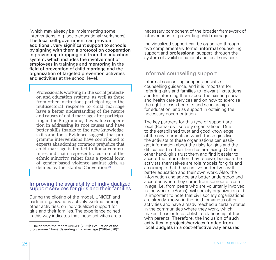(which may already be implementing some interventions, e.g. socio-educational workshops). The local self-government can provide additional, very significant support to schools by signing with them a protocol on cooperation in preventing dropping out from the education system, which includes the involvement of employees in trainings and mentoring in the field of prevention of child marriage and the organization of targeted prevention activities and activities at the school level.

Professionals working in the social protection and education systems, as well as those from other institutions participating in the multisectoral response to child marriage have a better understanding of the nature and causes of child marriage after participating in the Programme, they value cooperation in addressing its root causes and have better skills thanks to the new knowledge, skills and tools. Evidence suggests that programme interventions have contributed to experts abandoning common prejudice that child marriage is limited to Roma communities and that it represents a custom of the ethnic minority, rather than a special form of gender-based violence against girls, as defined by the Istanbul Convention.<sup>21</sup>

#### Improving the availability of individualized support services for girls and their families

During the piloting of the model, UNICEF and partner organizations actively worked, among other activities, on individualized support for girls and their families. The experience gained in this way indicates that these activities are a necessary component of the broader framework of interventions for preventing child marriage.

Individualized support can be organized through two complementary forms: informal counselling support and **professional** support (through the system of available national and local services).

## Informal counselling support

Informal counselling support consists of counselling guidance, and it is important for referring girls and families to relevant institutions and for informing them about the existing social and health care services and on how to exercise the right to cash benefits and scholarships for education, and as support in obtaining the necessary documentation.

The key partners for this type of support are local (Roma) civil society organizations. Due to the established trust and good knowledge of the environments in which these girls live, the activists of these organizations can easily get information about the risks for girls and the difficulties that their families are facing. On the other hand, girls trust them and find it easier to accept the information they receive, because the activists themselves are role models for girls and an example that they can live better lives with better education and their own work. Also, the information and advice are better understood and accepted when they come from someone close in age, i.e. from peers who are voluntarily involved in the work of (Roma) civil society organizations. It is important to note that civil society organizations are already known in the field for various other activities and have already reached a certain status in the communities where they work, which makes it easier to establish a relationship of trust with parents. Therefore, the inclusion of such activities in projects/services funded from local budgets in a cost-effective way ensures

<sup>&</sup>lt;sup>21</sup> Taken from the report UNICEF (2021): Evaluation of the programme "Towards ending child marriage (2018–2020)".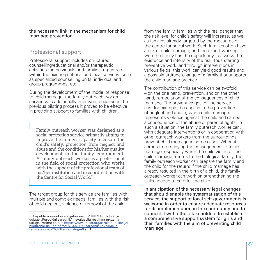the necessary link in the mechanism for child marriage prevention.

#### Professional support

Professional support includes structured counselling/educational and/or therapeutic activities for individuals and families, organized within the existing national and local services (such as specialized counselling units, individual and group programmes, etc.).

During the development of the model of response to child marriage, the family outreach worker service was additionally improved, because in the previous piloting process it proved to be effective in providing support to families with children.

Family outreach worker was designed as a social protection service primarily aiming to improve the family's capacity to ensure the child's safety, protection from neglect and abuse and the conditions for his/her quality development in the family environment. A family outreach worker is a professional in the field of social protection who works with the support of the professional team of his/her institution and in coordination with the Centre for Social Work.<sup>22</sup>

The target group for this service are families with multiple and complex needs, families with the risk of child neglect, violence or removal of the child

from the family, families with the real danger that the risk level for child's safety will increase, as well as families already targeted by the measures of the centre for social work. Such families often have a risk of child marriage, and the expert working with the family has the opportunity to assess the existence and intensity of the risk, thus starting preventive work, and through interventions in various fields, this work can yield good results and a possible attitude change of a family that supports the child marriage practice.

The contribution of this service can be twofold – on the one hand, prevention, and on the other hand, remediation of the consequences of child marriage. The preventive goal of the service can, for example, be applied in the prevention of neglect and abuse, when child marriage represents violence against the child and can be a consequence of the abuse of parental rights. In such a situation, the family outreach worker can, with adequate interventions or in cooperation with other outreach workers from the surroundings, prevent child marriage in some cases. When it comes to remedying the consequences of child marriage, especially when the child victim of the child marriage returns to the biological family, the family outreach worker can prepare the family and the child for the return; if the child marriage has already resulted in the birth of a child, the family outreach worker can work on strengthening the skills needed to care for the child.

In anticipation of the necessary legal changes that should enable the systematization of this service, the support of local self-governments is welcome in order to ensure adequate resources for its implementation in the community and to connect it with other stakeholders to establish a comprehensive support system for girls and their families with the aim of preventing child marriage.

<sup>22</sup> Republički zavod za socijalnu zaštitu/UNICEF- Pilotiranje usluge "Porodični saradnik" i evaluacija rezultata pružanja usluge- rezime studije [https://www.unicef.org/serbia/publikacije/](https://www.unicef.org/serbia/publikacije/pilotiranje-usluge-porodi%C4%8Dni-saradnik-i-evaluacija-rezultata-pru%C5%BEanja-usluge-0) [pilotiranje-usluge-porodi%C4%8Dni-saradnik-i-evaluacija](https://www.unicef.org/serbia/publikacije/pilotiranje-usluge-porodi%C4%8Dni-saradnik-i-evaluacija-rezultata-pru%C5%BEanja-usluge-0)[rezultata-pru%C5%BEanja-usluge-0](https://www.unicef.org/serbia/publikacije/pilotiranje-usluge-porodi%C4%8Dni-saradnik-i-evaluacija-rezultata-pru%C5%BEanja-usluge-0) str.1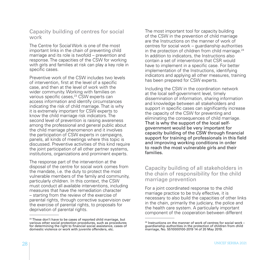### Capacity building of centres for social work

The Centre for Social Work is one of the most important links in the chain of preventing child marriage and its role is twofold – prevention and response. The capacities of the CSW for working with girls and families at risk can play a key role in specific cases.

Preventive work of the CSW includes two levels of intervention, first at the level of a specific case, and then at the level of work with the wider community. Working with families on various specific cases,<sup>23</sup> CSW experts can access information and identify circumstances indicating the risk of child marriage. That is why it is extremely important for CSW experts to know the child marriage risk indicators. The second level of prevention is raising awareness among the professional and general public about the child marriage phenomenon and it involves the participation of CSW experts in campaigns, panels, all kinds of meetings where this topic is discussed. Preventive activities of this kind require the joint participation of all other partner systems. institutions, organizations and prominent experts.

The response part of the intervention at the disposal of the centre for social work comes from the mandate, i.e. the duty to protect the most vulnerable members of the family and community, particularly children. In this context, the CSW must conduct all available interventions, including measures that have the remediation character – starting from the review of the exercise of parental rights, through corrective supervision over the exercise of parental rights, to proposals for deprivation of parental rights.

The most important tool for capacity building of the CSW in the prevention of child marriage are the Instructions on the manner of work of centres for social work – guardianship authorities in the protection of children from child marriage. $24$ In addition to indicators, the Instructions also contain a set of interventions that CSR would have to implement in a specific case. For better implementation of the Instructions, identifying indicators and applying all other measures, training has been prepared for CSW experts.

Including the CSW in the coordination network at the local self-government level, timely dissemination of information, sharing information and knowledge between all stakeholders and support in specific cases can significantly increase the capacity of the CSW for preventing and eliminating the consequences of child marriage. That is why the support of the local selfgovernment would be very important for capacity building of the CSW through financial support for training of professionals in this field and improving working conditions in order to reach the most vulnerable girls and their families.

### Capacity building of all stakeholders in the chain of responsibility for the child marriage prevention

For a joint coordinated response to the child marriage practice to be truly effective, it is necessary to also build the capacities of other links in the chain, primarily the judiciary, the police and the health care system. A particularly important component of the cooperation between different

<sup>&</sup>lt;sup>23</sup> These don't have to be cases of reported child marriage, but various other social protection procedures, such as procedures for determining the right to financial social assistance, cases of domestic violence or work with juvenile offenders, etc.

 $24$  Instructions on the manner of work of centres for social work – guardianship authorities in the protection of children from child marriage, No. 5510000100-2019 14 of 20 May 2019.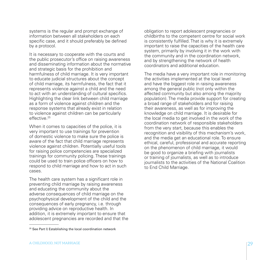systems is the regular and prompt exchange of information between all stakeholders on each specific case, and it should preferably be defined by a protocol.

It is necessary to cooperate with the courts and the public prosecutor's office on raising awareness and disseminating information about the normative and strategic basis for the prohibition and harmfulness of child marriage. It is very important to educate judicial structures about the concept of child marriage, its harmfulness, the fact that it represents violence against a child and the need to act with an understanding of cultural specifics. Highlighting the clear link between child marriage as a form of violence against children and the response systems that already exist in relation to violence against children can be particularly effective<sup>25</sup>

When it comes to capacities of the police, it is very important to use trainings for prevention of domestic violence to make sure the police is aware of the fact that child marriage represents violence against children. Potentially useful tools for raising police competencies are specialized trainings for community policing. These trainings could be used to train police officers on how to respond to child marriage and how to act in such cases.

The health care system has a significant role in preventing child marriage by raising awareness and educating the community about the adverse consequences of child marriage on the psychophysical development of the child and the consequences of early pregnancy, i.e. through providing advice on reproductive health. In addition, it is extremely important to ensure that adolescent pregnancies are recorded and that the

<sup>25</sup> See Part I) Establishing the local coordination network

obligation to report adolescent pregnancies or childbirths to the competent centre for social work is consistently fulfilled. That is why it is extremely important to raise the capacities of the health care system, primarily by involving it in the work with the community and in the coordination network, and by strengthening the network of health coordinators and additional education.

The media have a very important role in monitoring the activities implemented at the local level and have the biggest role in raising awareness among the general public (not only within the affected community but also among the majority population). The media provide support for creating a broad range of stakeholders and for raising their awareness, as well as for improving the knowledge on child marriage. It is desirable for the local media to get involved in the work of the coordination network of responsible stakeholders from the very start, because this enables the recognition and visibility of this mechanism's work, and the media get an educational role. To ensure ethical, careful, professional and accurate reporting on the phenomenon of child marriage, it would be good to organize a briefing with journalists or training of journalists, as well as to introduce journalists to the activities of the National Coalition to End Child Marriage.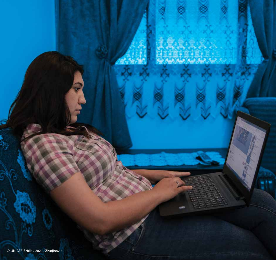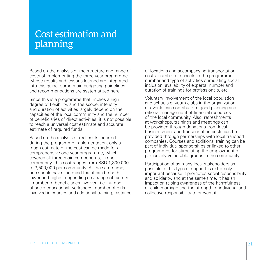## Cost estimation and planning

Based on the analysis of the structure and range of costs of implementing the three-year programme whose results and lessons learned are integrated into this guide, some main budgeting guidelines and recommendations are systematized here.

Since this is a programme that implies a high degree of flexibility, and the scope, intensity and duration of activities largely depend on the capacities of the local community and the number of beneficiaries of direct activities, it is not possible to reach a universal cost estimate and accurate estimate of required funds.

Based on the analysis of real costs incurred during the programme implementation, only a rough estimate of the cost can be made for a comprehensive one-year programme, which covered all three main components, in one community. This cost ranges from RSD 1,800,000 to 3,500,000 per community. At the same time, one should have it in mind that it can be both lower and higher, depending on a range of factors – number of beneficiaries involved, i.e. number of socio-educational workshops, number of girls involved in courses and additional training, distance of locations and accompanying transportation costs, number of schools in the programme, number and type of activities stimulating social inclusion, availability of experts, number and duration of trainings for professionals, etc.

Voluntary involvement of the local population and schools or youth clubs in the organization of events can contribute to good planning and rational management of financial resources of the local community. Also, refreshments at workshops, trainings and meetings can be provided through donations from local businessmen, and transportation costs can be provided through partnerships with local transport companies. Courses and additional training can be part of individual sponsorships or linked to other programmes for stimulating the employment of particularly vulnerable groups in the community.

Participation of as many local stakeholders as possible in this type of support is extremely important because it promotes social responsibility and solidarity, and at the same time, it has an impact on raising awareness of the harmfulness of child marriage and the strength of individual and collective responsibility to prevent it.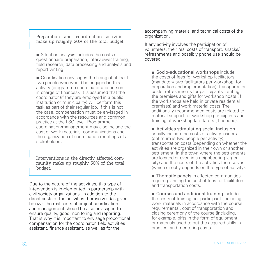Preparation and coordination activities make up roughly 20% of the total budget.

■ Situation analysis includes the costs of questionnaire preparation, interviewer training, field research, data processing and analysis and report writing.

■ Coordination envisages the hiring of at least two people who would be engaged in this activity (programme coordinator and person in charge of finances). It is assumed that the coordinator (if they are employed in a public institution or municipality) will perform this task as part of their regular job. If this is not the case, compensation must be envisaged in accordance with the resources and common practice at the LSG level. Programme coordination/management may also include the cost of work materials, communications and the organization of coordination meetings of all stakeholders

Interventions in the directly affected community make up roughly 50% of the total budget.

Due to the nature of the activities, this type of intervention is implemented in partnership with civil society organizations. In addition to the direct costs of the activities themselves (as given below), the real costs of project coordination and management should be also envisaged to ensure quality, good monitoring and reporting. That is why it is important to envisage proportional compensation for the coordinator, field activities assistant, finance assistant, as well as for the

accompanying material and technical costs of the organization.

If any activity involves the participation of volunteers, their real costs of transport, snacks/ refreshments and possibly phone use should be covered.

■ Socio-educational workshops include the costs of fees for workshop facilitators (mandatory two facilitators per workshop, for preparation and implementation), transportation costs, refreshments for participants, renting the premises and gifts for workshop hosts (if the workshops are held in private residential premises) and work material costs. The additionally recommended costs are related to material support for workshop participants and training of workshop facilitators (if needed).

■ Activities stimulating social inclusion usually include the costs of activity leaders (optimum is two people per activity), transportation costs (depending on whether the activities are organized in their own or another settlement, in the town where the settlements are located or even in a neighbouring larger city) and the costs of the activities themselves (which directly depends on the type of activity).

■ Thematic panels in affected communities require planning the cost of fees for facilitators and transportation costs.

■ Courses and additional training include the costs of training per participant (including work materials in accordance with the course requirements), cost of transportation and closing ceremony of the course (including, for example, gifts in the form of equipment or materials used to put the acquired skills in practice) and mentoring costs.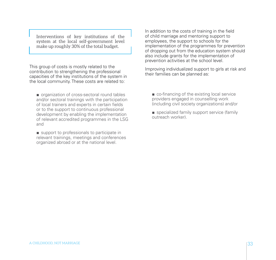Interventions of key institutions of the system at the local self-government level make up roughly 30% of the total budget.

This group of costs is mostly related to the contribution to strengthening the professional capacities of the key institutions of the system in the local community. These costs are related to:

■ organization of cross-sectoral round tables and/or sectoral trainings with the participation of local trainers and experts in certain fields or to the support to continuous professional development by enabling the implementation of relevant accredited programmes in the LSG and

■ support to professionals to participate in relevant trainings, meetings and conferences organized abroad or at the national level.

In addition to the costs of training in the field of child marriage and mentoring support to employees, the support to schools for the implementation of the programmes for prevention of dropping out from the education system should also include grants for the implementation of prevention activities at the school level.

Improving individualized support to girls at risk and their families can be planned as:

- co-financing of the existing local service providers engaged in counselling work (including civil society organizations) and/or
- specialized family support service (family outreach worker).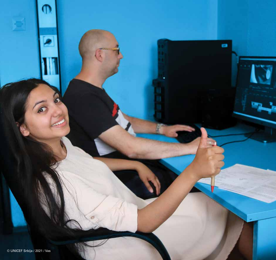© UNICEF Srbija / 2021 / Vas

∩

ŝ

**E** 

34 UNICEF SERBIA 2021 SERBIA 2021 SERBIA 2021 SERBIA 2021 SERBIA 2021 SERBIA 2021 SERBIA 2021 SERBIA 2021 SER

ø

٠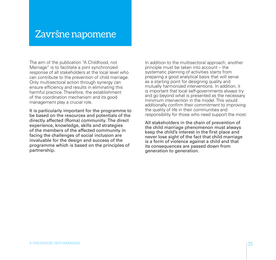## Završne napomene

The aim of the publication "A Childhood, not Marriage" is to facilitate a joint synchronized response of all stakeholders at the local level who can contribute to the prevention of child marriage. Only multisectoral action through synergy can ensure efficiency and results in eliminating this harmful practice. Therefore, the establishment of the coordination mechanism and its good management play a crucial role.

It is particularly important for the programme to be based on the resources and potentials of the directly affected (Roma) community. The direct experience, knowledge, skills and strategies of the members of the affected community in facing the challenges of social inclusion are invaluable for the design and success of the programme which is based on the principles of partnership.

In addition to the multisectoral approach, another principle must be taken into account – the systematic planning of activities starts from preparing a good analytical basis that will serve as a starting point for designing quality and mutually harmonized interventions. In addition, it is important that local self-governments always try and go beyond what is presented as the necessary minimum intervention in the model. This would additionally confirm their commitment to improving the quality of life in their communities and responsibility for those who need support the most.

All stakeholders in the chain of prevention of the child marriage phenomenon must always keep the child's interest in the first place and never lose sight of the fact that child marriage is a form of violence against a child and that its consequences are passed down from generation to generation.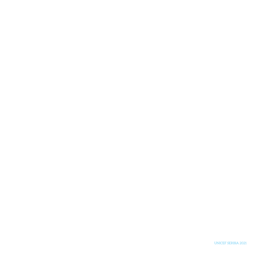UNICEF SERBIA 2021